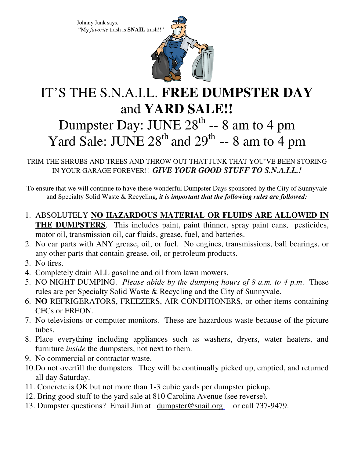Johnny Junk says, "My *favorite* trash is **SNAIL** trash!!"



## IT'S THE S.N.A.I.L. **FREE DUMPSTER DAY** and **YARD SALE!!**

## Dumpster Day: JUNE  $28^{th}$  -- 8 am to 4 pm Yard Sale: JUNE  $28<sup>th</sup>$  and  $29<sup>th</sup>$  -- 8 am to 4 pm

## TRIM THE SHRUBS AND TREES AND THROW OUT THAT JUNK THAT YOU'VE BEEN STORING IN YOUR GARAGE FOREVER!! *GIVE YOUR GOOD STUFF TO S.N.A.I.L.!*

To ensure that we will continue to have these wonderful Dumpster Days sponsored by the City of Sunnyvale and Specialty Solid Waste & Recycling, *it is important that the following rules are followed:* 

- 1. ABSOLUTELY **NO HAZARDOUS MATERIAL OR FLUIDS ARE ALLOWED IN THE DUMPSTERS**. This includes paint, paint thinner, spray paint cans, pesticides, motor oil, transmission oil, car fluids, grease, fuel, and batteries.
- 2. No car parts with ANY grease, oil, or fuel. No engines, transmissions, ball bearings, or any other parts that contain grease, oil, or petroleum products.
- 3. No tires.
- 4. Completely drain ALL gasoline and oil from lawn mowers.
- 5. NO NIGHT DUMPING. *Please abide by the dumping hours of 8 a.m. to 4 p.m*. These rules are per Specialty Solid Waste & Recycling and the City of Sunnyvale.
- 6. **NO** REFRIGERATORS, FREEZERS, AIR CONDITIONERS, or other items containing CFCs or FREON.
- 7. No televisions or computer monitors. These are hazardous waste because of the picture tubes.
- 8. Place everything including appliances such as washers, dryers, water heaters, and furniture *inside* the dumpsters, not next to them.
- 9. No commercial or contractor waste.
- 10.Do not overfill the dumpsters. They will be continually picked up, emptied, and returned all day Saturday.
- 11. Concrete is OK but not more than 1-3 cubic yards per dumpster pickup.
- 12. Bring good stuff to the yard sale at 810 Carolina Avenue (see reverse).
- 13. Dumpster questions? Email Jim at dumpster@snail.org or call 737-9479.